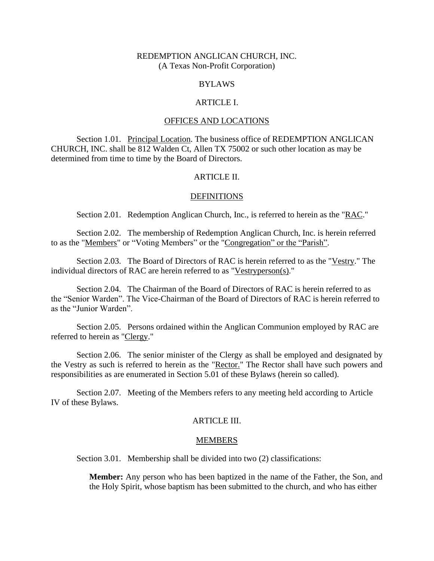## REDEMPTION ANGLICAN CHURCH, INC. (A Texas Non-Profit Corporation)

#### BYLAWS

#### ARTICLE I.

## OFFICES AND LOCATIONS

Section 1.01. Principal Location. The business office of REDEMPTION ANGLICAN CHURCH, INC. shall be 812 Walden Ct, Allen TX 75002 or such other location as may be determined from time to time by the Board of Directors.

### ARTICLE II.

#### **DEFINITIONS**

Section 2.01. Redemption Anglican Church, Inc., is referred to herein as the "RAC."

Section 2.02. The membership of Redemption Anglican Church, Inc. is herein referred to as the "Members" or "Voting Members" or the "Congregation" or the "Parish".

Section 2.03. The Board of Directors of RAC is herein referred to as the "Vestry." The individual directors of RAC are herein referred to as "Vestryperson(s)."

Section 2.04. The Chairman of the Board of Directors of RAC is herein referred to as the "Senior Warden". The Vice-Chairman of the Board of Directors of RAC is herein referred to as the "Junior Warden".

Section 2.05. Persons ordained within the Anglican Communion employed by RAC are referred to herein as "Clergy."

Section 2.06. The senior minister of the Clergy as shall be employed and designated by the Vestry as such is referred to herein as the "Rector." The Rector shall have such powers and responsibilities as are enumerated in Section 5.01 of these Bylaws (herein so called).

Section 2.07. Meeting of the Members refers to any meeting held according to Article IV of these Bylaws.

### ARTICLE III.

#### MEMBERS

Section 3.01. Membership shall be divided into two  $(2)$  classifications:

**Member:** Any person who has been baptized in the name of the Father, the Son, and the Holy Spirit, whose baptism has been submitted to the church, and who has either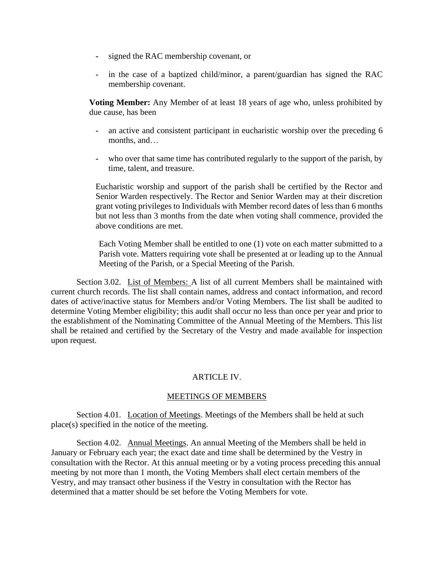- **-** signed the RAC membership covenant, or
- **-** in the case of a baptized child/minor, a parent/guardian has signed the RAC membership covenant.

**Voting Member:** Any Member of at least 18 years of age who, unless prohibited by due cause, has been

- **-** an active and consistent participant in eucharistic worship over the preceding 6 months, and…
- **-** who over that same time has contributed regularly to the support of the parish, by time, talent, and treasure.

Eucharistic worship and support of the parish shall be certified by the Rector and Senior Warden respectively. The Rector and Senior Warden may at their discretion grant voting privileges to Individuals with Member record dates of less than 6 months but not less than 3 months from the date when voting shall commence, provided the above conditions are met.

Each Voting Member shall be entitled to one (1) vote on each matter submitted to a Parish vote. Matters requiring vote shall be presented at or leading up to the Annual Meeting of the Parish, or a Special Meeting of the Parish.

Section 3.02. List of Members: A list of all current Members shall be maintained with current church records. The list shall contain names, address and contact information, and record dates of active/inactive status for Members and/or Voting Members. The list shall be audited to determine Voting Member eligibility; this audit shall occur no less than once per year and prior to the establishment of the Nominating Committee of the Annual Meeting of the Members. This list shall be retained and certified by the Secretary of the Vestry and made available for inspection upon request.

# ARTICLE IV.

# MEETINGS OF MEMBERS

Section 4.01. Location of Meetings. Meetings of the Members shall be held at such place(s) specified in the notice of the meeting.

Section 4.02. Annual Meetings. An annual Meeting of the Members shall be held in January or February each year; the exact date and time shall be determined by the Vestry in consultation with the Rector. At this annual meeting or by a voting process preceding this annual meeting by not more than 1 month, the Voting Members shall elect certain members of the Vestry, and may transact other business if the Vestry in consultation with the Rector has determined that a matter should be set before the Voting Members for vote.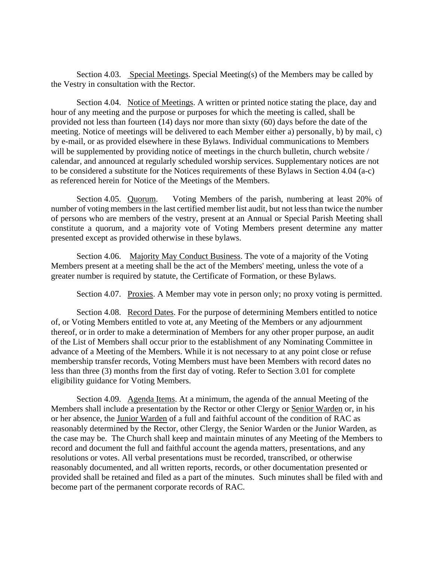Section 4.03. Special Meetings. Special Meeting(s) of the Members may be called by the Vestry in consultation with the Rector.

Section 4.04. Notice of Meetings. A written or printed notice stating the place, day and hour of any meeting and the purpose or purposes for which the meeting is called, shall be provided not less than fourteen (14) days nor more than sixty (60) days before the date of the meeting. Notice of meetings will be delivered to each Member either a) personally, b) by mail, c) by e-mail, or as provided elsewhere in these Bylaws. Individual communications to Members will be supplemented by providing notice of meetings in the church bulletin, church website / calendar, and announced at regularly scheduled worship services. Supplementary notices are not to be considered a substitute for the Notices requirements of these Bylaws in Section 4.04 (a-c) as referenced herein for Notice of the Meetings of the Members.

Section 4.05. Quorum. Voting Members of the parish, numbering at least 20% of number of voting members in the last certified member list audit, but not less than twice the number of persons who are members of the vestry, present at an Annual or Special Parish Meeting shall constitute a quorum, and a majority vote of Voting Members present determine any matter presented except as provided otherwise in these bylaws.

Section 4.06. Majority May Conduct Business. The vote of a majority of the Voting Members present at a meeting shall be the act of the Members' meeting, unless the vote of a greater number is required by statute, the Certificate of Formation, or these Bylaws.

Section 4.07. Proxies. A Member may vote in person only; no proxy voting is permitted.

Section 4.08. Record Dates. For the purpose of determining Members entitled to notice of, or Voting Members entitled to vote at, any Meeting of the Members or any adjournment thereof, or in order to make a determination of Members for any other proper purpose, an audit of the List of Members shall occur prior to the establishment of any Nominating Committee in advance of a Meeting of the Members. While it is not necessary to at any point close or refuse membership transfer records, Voting Members must have been Members with record dates no less than three (3) months from the first day of voting. Refer to Section 3.01 for complete eligibility guidance for Voting Members.

Section 4.09. Agenda Items. At a minimum, the agenda of the annual Meeting of the Members shall include a presentation by the Rector or other Clergy or Senior Warden or, in his or her absence, the Junior Warden of a full and faithful account of the condition of RAC as reasonably determined by the Rector, other Clergy, the Senior Warden or the Junior Warden, as the case may be. The Church shall keep and maintain minutes of any Meeting of the Members to record and document the full and faithful account the agenda matters, presentations, and any resolutions or votes. All verbal presentations must be recorded, transcribed, or otherwise reasonably documented, and all written reports, records, or other documentation presented or provided shall be retained and filed as a part of the minutes. Such minutes shall be filed with and become part of the permanent corporate records of RAC.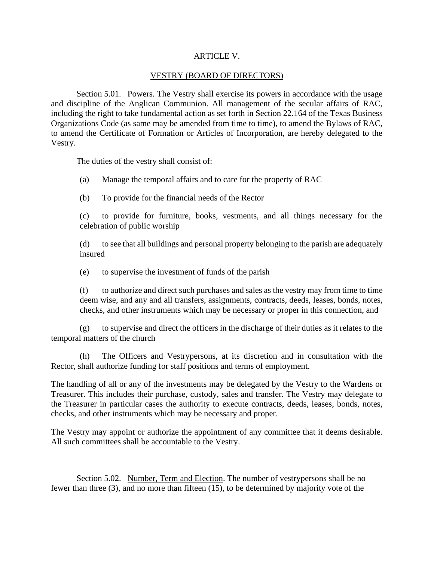## ARTICLE V.

## VESTRY (BOARD OF DIRECTORS)

Section 5.01. Powers. The Vestry shall exercise its powers in accordance with the usage and discipline of the Anglican Communion. All management of the secular affairs of RAC, including the right to take fundamental action as set forth in Section 22.164 of the Texas Business Organizations Code (as same may be amended from time to time), to amend the Bylaws of RAC, to amend the Certificate of Formation or Articles of Incorporation, are hereby delegated to the Vestry.

The duties of the vestry shall consist of:

(a) Manage the temporal affairs and to care for the property of RAC

(b) To provide for the financial needs of the Rector

(c) to provide for furniture, books, vestments, and all things necessary for the celebration of public worship

(d) to see that all buildings and personal property belonging to the parish are adequately insured

(e) to supervise the investment of funds of the parish

(f) to authorize and direct such purchases and sales as the vestry may from time to time deem wise, and any and all transfers, assignments, contracts, deeds, leases, bonds, notes, checks, and other instruments which may be necessary or proper in this connection, and

(g) to supervise and direct the officers in the discharge of their duties as it relates to the temporal matters of the church

(h) The Officers and Vestrypersons, at its discretion and in consultation with the Rector, shall authorize funding for staff positions and terms of employment.

The handling of all or any of the investments may be delegated by the Vestry to the Wardens or Treasurer. This includes their purchase, custody, sales and transfer. The Vestry may delegate to the Treasurer in particular cases the authority to execute contracts, deeds, leases, bonds, notes, checks, and other instruments which may be necessary and proper.

The Vestry may appoint or authorize the appointment of any committee that it deems desirable. All such committees shall be accountable to the Vestry.

Section 5.02. Number, Term and Election. The number of vestrypersons shall be no fewer than three (3), and no more than fifteen (15), to be determined by majority vote of the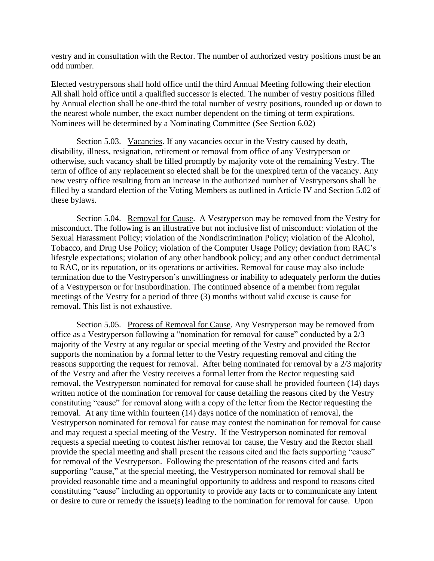vestry and in consultation with the Rector. The number of authorized vestry positions must be an odd number.

Elected vestrypersons shall hold office until the third Annual Meeting following their election All shall hold office until a qualified successor is elected. The number of vestry positions filled by Annual election shall be one-third the total number of vestry positions, rounded up or down to the nearest whole number, the exact number dependent on the timing of term expirations. Nominees will be determined by a Nominating Committee (See Section 6.02)

Section 5.03. Vacancies. If any vacancies occur in the Vestry caused by death, disability, illness, resignation, retirement or removal from office of any Vestryperson or otherwise, such vacancy shall be filled promptly by majority vote of the remaining Vestry. The term of office of any replacement so elected shall be for the unexpired term of the vacancy. Any new vestry office resulting from an increase in the authorized number of Vestrypersons shall be filled by a standard election of the Voting Members as outlined in Article IV and Section 5.02 of these bylaws.

Section 5.04. Removal for Cause. A Vestryperson may be removed from the Vestry for misconduct. The following is an illustrative but not inclusive list of misconduct: violation of the Sexual Harassment Policy; violation of the Nondiscrimination Policy; violation of the Alcohol, Tobacco, and Drug Use Policy; violation of the Computer Usage Policy; deviation from RAC's lifestyle expectations; violation of any other handbook policy; and any other conduct detrimental to RAC, or its reputation, or its operations or activities. Removal for cause may also include termination due to the Vestryperson's unwillingness or inability to adequately perform the duties of a Vestryperson or for insubordination. The continued absence of a member from regular meetings of the Vestry for a period of three (3) months without valid excuse is cause for removal. This list is not exhaustive.

Section 5.05. Process of Removal for Cause. Any Vestryperson may be removed from office as a Vestryperson following a "nomination for removal for cause" conducted by a 2/3 majority of the Vestry at any regular or special meeting of the Vestry and provided the Rector supports the nomination by a formal letter to the Vestry requesting removal and citing the reasons supporting the request for removal. After being nominated for removal by a 2/3 majority of the Vestry and after the Vestry receives a formal letter from the Rector requesting said removal, the Vestryperson nominated for removal for cause shall be provided fourteen (14) days written notice of the nomination for removal for cause detailing the reasons cited by the Vestry constituting "cause" for removal along with a copy of the letter from the Rector requesting the removal. At any time within fourteen (14) days notice of the nomination of removal, the Vestryperson nominated for removal for cause may contest the nomination for removal for cause and may request a special meeting of the Vestry. If the Vestryperson nominated for removal requests a special meeting to contest his/her removal for cause, the Vestry and the Rector shall provide the special meeting and shall present the reasons cited and the facts supporting "cause" for removal of the Vestryperson. Following the presentation of the reasons cited and facts supporting "cause," at the special meeting, the Vestryperson nominated for removal shall be provided reasonable time and a meaningful opportunity to address and respond to reasons cited constituting "cause" including an opportunity to provide any facts or to communicate any intent or desire to cure or remedy the issue(s) leading to the nomination for removal for cause. Upon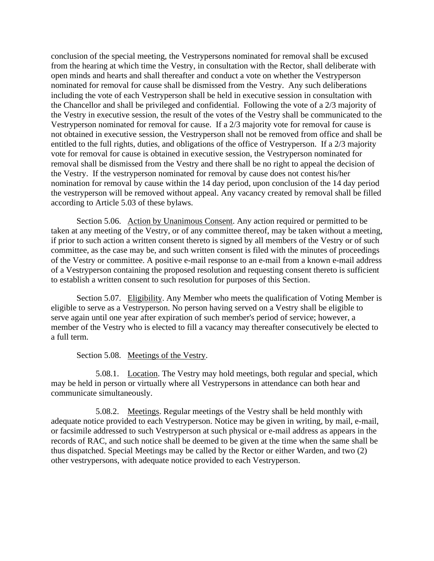conclusion of the special meeting, the Vestrypersons nominated for removal shall be excused from the hearing at which time the Vestry, in consultation with the Rector, shall deliberate with open minds and hearts and shall thereafter and conduct a vote on whether the Vestryperson nominated for removal for cause shall be dismissed from the Vestry. Any such deliberations including the vote of each Vestryperson shall be held in executive session in consultation with the Chancellor and shall be privileged and confidential. Following the vote of a 2/3 majority of the Vestry in executive session, the result of the votes of the Vestry shall be communicated to the Vestryperson nominated for removal for cause. If a 2/3 majority vote for removal for cause is not obtained in executive session, the Vestryperson shall not be removed from office and shall be entitled to the full rights, duties, and obligations of the office of Vestryperson. If a 2/3 majority vote for removal for cause is obtained in executive session, the Vestryperson nominated for removal shall be dismissed from the Vestry and there shall be no right to appeal the decision of the Vestry. If the vestryperson nominated for removal by cause does not contest his/her nomination for removal by cause within the 14 day period, upon conclusion of the 14 day period the vestryperson will be removed without appeal. Any vacancy created by removal shall be filled according to Article 5.03 of these bylaws.

Section 5.06. Action by Unanimous Consent. Any action required or permitted to be taken at any meeting of the Vestry, or of any committee thereof, may be taken without a meeting, if prior to such action a written consent thereto is signed by all members of the Vestry or of such committee, as the case may be, and such written consent is filed with the minutes of proceedings of the Vestry or committee. A positive e-mail response to an e-mail from a known e-mail address of a Vestryperson containing the proposed resolution and requesting consent thereto is sufficient to establish a written consent to such resolution for purposes of this Section.

Section 5.07. Eligibility. Any Member who meets the qualification of Voting Member is eligible to serve as a Vestryperson. No person having served on a Vestry shall be eligible to serve again until one year after expiration of such member's period of service; however, a member of the Vestry who is elected to fill a vacancy may thereafter consecutively be elected to a full term.

### Section 5.08. Meetings of the Vestry.

5.08.1. Location. The Vestry may hold meetings, both regular and special, which may be held in person or virtually where all Vestrypersons in attendance can both hear and communicate simultaneously.

5.08.2. Meetings. Regular meetings of the Vestry shall be held monthly with adequate notice provided to each Vestryperson. Notice may be given in writing, by mail, e-mail, or facsimile addressed to such Vestryperson at such physical or e-mail address as appears in the records of RAC, and such notice shall be deemed to be given at the time when the same shall be thus dispatched. Special Meetings may be called by the Rector or either Warden, and two (2) other vestrypersons, with adequate notice provided to each Vestryperson.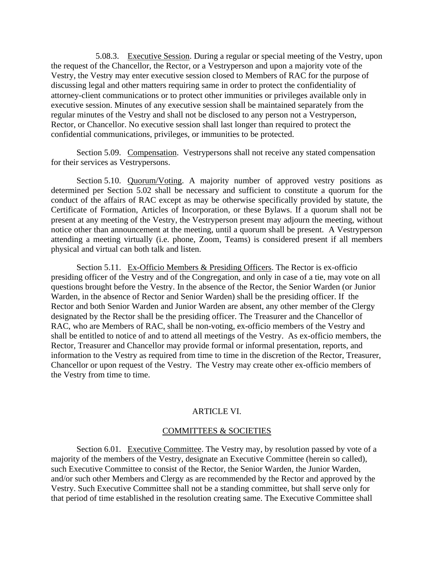5.08.3. Executive Session. During a regular or special meeting of the Vestry, upon the request of the Chancellor, the Rector, or a Vestryperson and upon a majority vote of the Vestry, the Vestry may enter executive session closed to Members of RAC for the purpose of discussing legal and other matters requiring same in order to protect the confidentiality of attorney-client communications or to protect other immunities or privileges available only in executive session. Minutes of any executive session shall be maintained separately from the regular minutes of the Vestry and shall not be disclosed to any person not a Vestryperson, Rector, or Chancellor. No executive session shall last longer than required to protect the confidential communications, privileges, or immunities to be protected.

Section 5.09. Compensation. Vestrypersons shall not receive any stated compensation for their services as Vestrypersons.

Section 5.10. Quorum/Voting. A majority number of approved vestry positions as determined per Section 5.02 shall be necessary and sufficient to constitute a quorum for the conduct of the affairs of RAC except as may be otherwise specifically provided by statute, the Certificate of Formation, Articles of Incorporation, or these Bylaws. If a quorum shall not be present at any meeting of the Vestry, the Vestryperson present may adjourn the meeting, without notice other than announcement at the meeting, until a quorum shall be present. A Vestryperson attending a meeting virtually (i.e. phone, Zoom, Teams) is considered present if all members physical and virtual can both talk and listen.

Section 5.11. Ex-Officio Members  $&$  Presiding Officers. The Rector is ex-officio presiding officer of the Vestry and of the Congregation, and only in case of a tie, may vote on all questions brought before the Vestry. In the absence of the Rector, the Senior Warden (or Junior Warden, in the absence of Rector and Senior Warden) shall be the presiding officer. If the Rector and both Senior Warden and Junior Warden are absent, any other member of the Clergy designated by the Rector shall be the presiding officer. The Treasurer and the Chancellor of RAC, who are Members of RAC, shall be non-voting, ex-officio members of the Vestry and shall be entitled to notice of and to attend all meetings of the Vestry. As ex-officio members, the Rector, Treasurer and Chancellor may provide formal or informal presentation, reports, and information to the Vestry as required from time to time in the discretion of the Rector, Treasurer, Chancellor or upon request of the Vestry. The Vestry may create other ex-officio members of the Vestry from time to time.

### ARTICLE VI.

#### COMMITTEES & SOCIETIES

Section 6.01. Executive Committee. The Vestry may, by resolution passed by vote of a majority of the members of the Vestry, designate an Executive Committee (herein so called), such Executive Committee to consist of the Rector, the Senior Warden, the Junior Warden, and/or such other Members and Clergy as are recommended by the Rector and approved by the Vestry. Such Executive Committee shall not be a standing committee, but shall serve only for that period of time established in the resolution creating same. The Executive Committee shall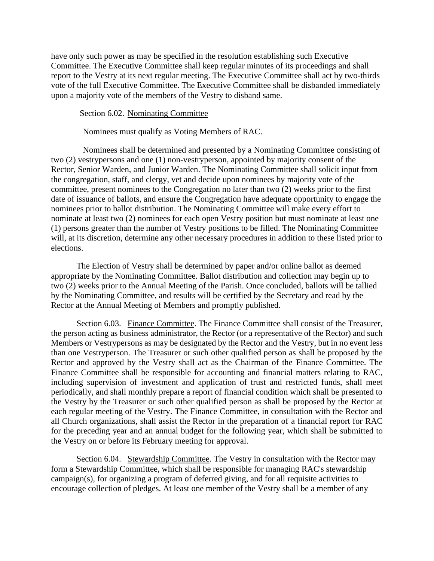have only such power as may be specified in the resolution establishing such Executive Committee. The Executive Committee shall keep regular minutes of its proceedings and shall report to the Vestry at its next regular meeting. The Executive Committee shall act by two-thirds vote of the full Executive Committee. The Executive Committee shall be disbanded immediately upon a majority vote of the members of the Vestry to disband same.

Section 6.02. Nominating Committee

Nominees must qualify as Voting Members of RAC.

Nominees shall be determined and presented by a Nominating Committee consisting of two (2) vestrypersons and one (1) non-vestryperson, appointed by majority consent of the Rector, Senior Warden, and Junior Warden. The Nominating Committee shall solicit input from the congregation, staff, and clergy, vet and decide upon nominees by majority vote of the committee, present nominees to the Congregation no later than two (2) weeks prior to the first date of issuance of ballots, and ensure the Congregation have adequate opportunity to engage the nominees prior to ballot distribution. The Nominating Committee will make every effort to nominate at least two (2) nominees for each open Vestry position but must nominate at least one (1) persons greater than the number of Vestry positions to be filled. The Nominating Committee will, at its discretion, determine any other necessary procedures in addition to these listed prior to elections.

The Election of Vestry shall be determined by paper and/or online ballot as deemed appropriate by the Nominating Committee. Ballot distribution and collection may begin up to two (2) weeks prior to the Annual Meeting of the Parish. Once concluded, ballots will be tallied by the Nominating Committee, and results will be certified by the Secretary and read by the Rector at the Annual Meeting of Members and promptly published.

Section 6.03. Finance Committee. The Finance Committee shall consist of the Treasurer, the person acting as business administrator, the Rector (or a representative of the Rector) and such Members or Vestrypersons as may be designated by the Rector and the Vestry, but in no event less than one Vestryperson. The Treasurer or such other qualified person as shall be proposed by the Rector and approved by the Vestry shall act as the Chairman of the Finance Committee. The Finance Committee shall be responsible for accounting and financial matters relating to RAC, including supervision of investment and application of trust and restricted funds, shall meet periodically, and shall monthly prepare a report of financial condition which shall be presented to the Vestry by the Treasurer or such other qualified person as shall be proposed by the Rector at each regular meeting of the Vestry. The Finance Committee, in consultation with the Rector and all Church organizations, shall assist the Rector in the preparation of a financial report for RAC for the preceding year and an annual budget for the following year, which shall be submitted to the Vestry on or before its February meeting for approval.

Section 6.04. Stewardship Committee. The Vestry in consultation with the Rector may form a Stewardship Committee, which shall be responsible for managing RAC's stewardship campaign(s), for organizing a program of deferred giving, and for all requisite activities to encourage collection of pledges. At least one member of the Vestry shall be a member of any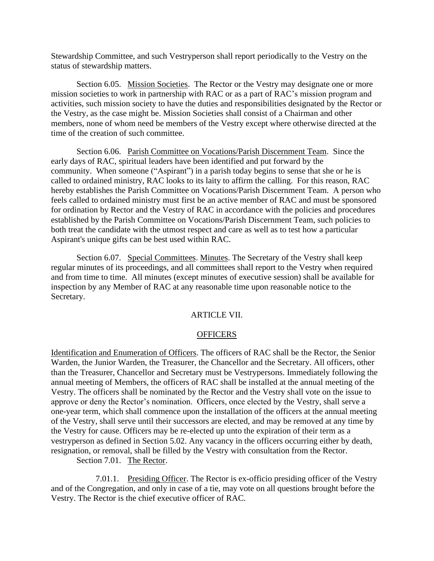Stewardship Committee, and such Vestryperson shall report periodically to the Vestry on the status of stewardship matters.

Section 6.05. Mission Societies. The Rector or the Vestry may designate one or more mission societies to work in partnership with RAC or as a part of RAC's mission program and activities, such mission society to have the duties and responsibilities designated by the Rector or the Vestry, as the case might be. Mission Societies shall consist of a Chairman and other members, none of whom need be members of the Vestry except where otherwise directed at the time of the creation of such committee.

Section 6.06. Parish Committee on Vocations/Parish Discernment Team. Since the early days of RAC, spiritual leaders have been identified and put forward by the community. When someone ("Aspirant") in a parish today begins to sense that she or he is called to ordained ministry, RAC looks to its laity to affirm the calling. For this reason, RAC hereby establishes the Parish Committee on Vocations/Parish Discernment Team. A person who feels called to ordained ministry must first be an active member of RAC and must be sponsored for ordination by Rector and the Vestry of RAC in accordance with the policies and procedures established by the Parish Committee on Vocations/Parish Discernment Team, such policies to both treat the candidate with the utmost respect and care as well as to test how a particular Aspirant's unique gifts can be best used within RAC.

Section 6.07. Special Committees. Minutes. The Secretary of the Vestry shall keep regular minutes of its proceedings, and all committees shall report to the Vestry when required and from time to time. All minutes (except minutes of executive session) shall be available for inspection by any Member of RAC at any reasonable time upon reasonable notice to the Secretary.

#### ARTICLE VII.

#### **OFFICERS**

Identification and Enumeration of Officers. The officers of RAC shall be the Rector, the Senior Warden, the Junior Warden, the Treasurer, the Chancellor and the Secretary. All officers, other than the Treasurer, Chancellor and Secretary must be Vestrypersons. Immediately following the annual meeting of Members, the officers of RAC shall be installed at the annual meeting of the Vestry. The officers shall be nominated by the Rector and the Vestry shall vote on the issue to approve or deny the Rector's nomination. Officers, once elected by the Vestry, shall serve a one-year term, which shall commence upon the installation of the officers at the annual meeting of the Vestry, shall serve until their successors are elected, and may be removed at any time by the Vestry for cause. Officers may be re-elected up unto the expiration of their term as a vestryperson as defined in Section 5.02. Any vacancy in the officers occurring either by death, resignation, or removal, shall be filled by the Vestry with consultation from the Rector.

Section 7.01. The Rector.

7.01.1. Presiding Officer. The Rector is ex-officio presiding officer of the Vestry and of the Congregation, and only in case of a tie, may vote on all questions brought before the Vestry. The Rector is the chief executive officer of RAC.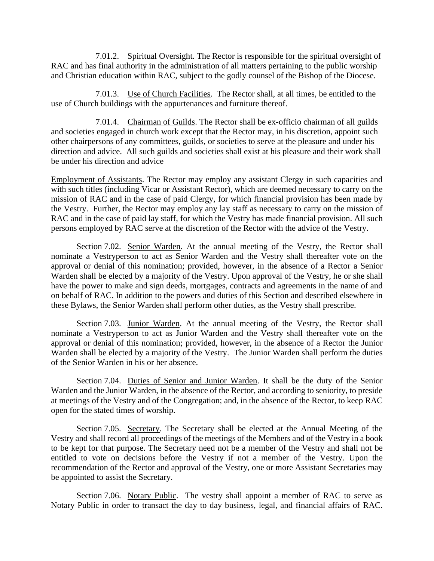7.01.2. Spiritual Oversight. The Rector is responsible for the spiritual oversight of RAC and has final authority in the administration of all matters pertaining to the public worship and Christian education within RAC, subject to the godly counsel of the Bishop of the Diocese.

7.01.3. Use of Church Facilities. The Rector shall, at all times, be entitled to the use of Church buildings with the appurtenances and furniture thereof.

7.01.4. Chairman of Guilds. The Rector shall be ex-officio chairman of all guilds and societies engaged in church work except that the Rector may, in his discretion, appoint such other chairpersons of any committees, guilds, or societies to serve at the pleasure and under his direction and advice. All such guilds and societies shall exist at his pleasure and their work shall be under his direction and advice

Employment of Assistants. The Rector may employ any assistant Clergy in such capacities and with such titles (including Vicar or Assistant Rector), which are deemed necessary to carry on the mission of RAC and in the case of paid Clergy, for which financial provision has been made by the Vestry. Further, the Rector may employ any lay staff as necessary to carry on the mission of RAC and in the case of paid lay staff, for which the Vestry has made financial provision. All such persons employed by RAC serve at the discretion of the Rector with the advice of the Vestry.

Section 7.02. Senior Warden. At the annual meeting of the Vestry, the Rector shall nominate a Vestryperson to act as Senior Warden and the Vestry shall thereafter vote on the approval or denial of this nomination; provided, however, in the absence of a Rector a Senior Warden shall be elected by a majority of the Vestry. Upon approval of the Vestry, he or she shall have the power to make and sign deeds, mortgages, contracts and agreements in the name of and on behalf of RAC. In addition to the powers and duties of this Section and described elsewhere in these Bylaws, the Senior Warden shall perform other duties, as the Vestry shall prescribe.

Section 7.03. Junior Warden. At the annual meeting of the Vestry, the Rector shall nominate a Vestryperson to act as Junior Warden and the Vestry shall thereafter vote on the approval or denial of this nomination; provided, however, in the absence of a Rector the Junior Warden shall be elected by a majority of the Vestry. The Junior Warden shall perform the duties of the Senior Warden in his or her absence.

Section 7.04. Duties of Senior and Junior Warden. It shall be the duty of the Senior Warden and the Junior Warden, in the absence of the Rector, and according to seniority, to preside at meetings of the Vestry and of the Congregation; and, in the absence of the Rector, to keep RAC open for the stated times of worship.

Section 7.05. Secretary. The Secretary shall be elected at the Annual Meeting of the Vestry and shall record all proceedings of the meetings of the Members and of the Vestry in a book to be kept for that purpose. The Secretary need not be a member of the Vestry and shall not be entitled to vote on decisions before the Vestry if not a member of the Vestry. Upon the recommendation of the Rector and approval of the Vestry, one or more Assistant Secretaries may be appointed to assist the Secretary.

Section 7.06. Notary Public. The vestry shall appoint a member of RAC to serve as Notary Public in order to transact the day to day business, legal, and financial affairs of RAC.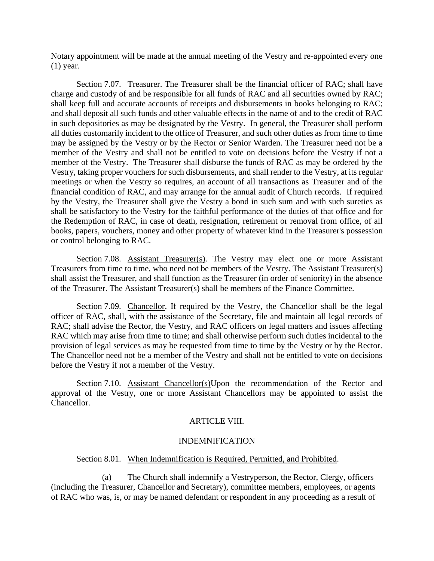Notary appointment will be made at the annual meeting of the Vestry and re-appointed every one (1) year.

Section 7.07. Treasurer. The Treasurer shall be the financial officer of RAC; shall have charge and custody of and be responsible for all funds of RAC and all securities owned by RAC; shall keep full and accurate accounts of receipts and disbursements in books belonging to RAC; and shall deposit all such funds and other valuable effects in the name of and to the credit of RAC in such depositories as may be designated by the Vestry. In general, the Treasurer shall perform all duties customarily incident to the office of Treasurer, and such other duties as from time to time may be assigned by the Vestry or by the Rector or Senior Warden. The Treasurer need not be a member of the Vestry and shall not be entitled to vote on decisions before the Vestry if not a member of the Vestry. The Treasurer shall disburse the funds of RAC as may be ordered by the Vestry, taking proper vouchers for such disbursements, and shall render to the Vestry, at its regular meetings or when the Vestry so requires, an account of all transactions as Treasurer and of the financial condition of RAC, and may arrange for the annual audit of Church records. If required by the Vestry, the Treasurer shall give the Vestry a bond in such sum and with such sureties as shall be satisfactory to the Vestry for the faithful performance of the duties of that office and for the Redemption of RAC, in case of death, resignation, retirement or removal from office, of all books, papers, vouchers, money and other property of whatever kind in the Treasurer's possession or control belonging to RAC.

Section 7.08. Assistant Treasurer(s). The Vestry may elect one or more Assistant Treasurers from time to time, who need not be members of the Vestry. The Assistant Treasurer(s) shall assist the Treasurer, and shall function as the Treasurer (in order of seniority) in the absence of the Treasurer. The Assistant Treasurer(s) shall be members of the Finance Committee.

Section 7.09. Chancellor. If required by the Vestry, the Chancellor shall be the legal officer of RAC, shall, with the assistance of the Secretary, file and maintain all legal records of RAC; shall advise the Rector, the Vestry, and RAC officers on legal matters and issues affecting RAC which may arise from time to time; and shall otherwise perform such duties incidental to the provision of legal services as may be requested from time to time by the Vestry or by the Rector. The Chancellor need not be a member of the Vestry and shall not be entitled to vote on decisions before the Vestry if not a member of the Vestry.

Section 7.10. Assistant Chancellor(s)Upon the recommendation of the Rector and approval of the Vestry, one or more Assistant Chancellors may be appointed to assist the Chancellor.

# ARTICLE VIII.

### INDEMNIFICATION

### Section 8.01. When Indemnification is Required, Permitted, and Prohibited.

(a) The Church shall indemnify a Vestryperson, the Rector, Clergy, officers (including the Treasurer, Chancellor and Secretary), committee members, employees, or agents of RAC who was, is, or may be named defendant or respondent in any proceeding as a result of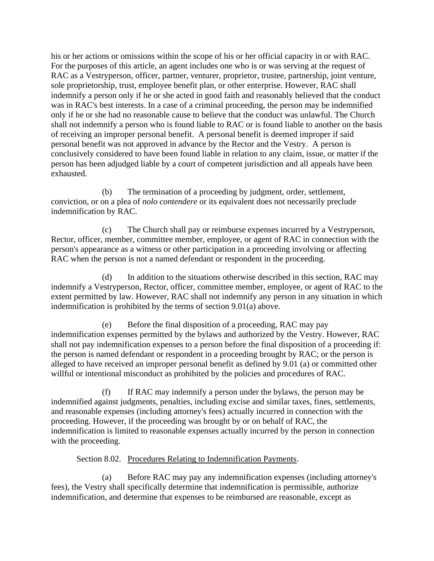his or her actions or omissions within the scope of his or her official capacity in or with RAC. For the purposes of this article, an agent includes one who is or was serving at the request of RAC as a Vestryperson, officer, partner, venturer, proprietor, trustee, partnership, joint venture, sole proprietorship, trust, employee benefit plan, or other enterprise. However, RAC shall indemnify a person only if he or she acted in good faith and reasonably believed that the conduct was in RAC's best interests. In a case of a criminal proceeding, the person may be indemnified only if he or she had no reasonable cause to believe that the conduct was unlawful. The Church shall not indemnify a person who is found liable to RAC or is found liable to another on the basis of receiving an improper personal benefit. A personal benefit is deemed improper if said personal benefit was not approved in advance by the Rector and the Vestry. A person is conclusively considered to have been found liable in relation to any claim, issue, or matter if the person has been adjudged liable by a court of competent jurisdiction and all appeals have been exhausted.

(b) The termination of a proceeding by judgment, order, settlement, conviction, or on a plea of *nolo contendere* or its equivalent does not necessarily preclude indemnification by RAC.

(c) The Church shall pay or reimburse expenses incurred by a Vestryperson, Rector, officer, member, committee member, employee, or agent of RAC in connection with the person's appearance as a witness or other participation in a proceeding involving or affecting RAC when the person is not a named defendant or respondent in the proceeding.

(d) In addition to the situations otherwise described in this section, RAC may indemnify a Vestryperson, Rector, officer, committee member, employee, or agent of RAC to the extent permitted by law. However, RAC shall not indemnify any person in any situation in which indemnification is prohibited by the terms of section 9.01(a) above.

(e) Before the final disposition of a proceeding, RAC may pay indemnification expenses permitted by the bylaws and authorized by the Vestry. However, RAC shall not pay indemnification expenses to a person before the final disposition of a proceeding if: the person is named defendant or respondent in a proceeding brought by RAC; or the person is alleged to have received an improper personal benefit as defined by 9.01 (a) or committed other willful or intentional misconduct as prohibited by the policies and procedures of RAC.

(f) If RAC may indemnify a person under the bylaws, the person may be indemnified against judgments, penalties, including excise and similar taxes, fines, settlements, and reasonable expenses (including attorney's fees) actually incurred in connection with the proceeding. However, if the proceeding was brought by or on behalf of RAC, the indemnification is limited to reasonable expenses actually incurred by the person in connection with the proceeding.

Section 8.02. Procedures Relating to Indemnification Payments.

(a) Before RAC may pay any indemnification expenses (including attorney's fees), the Vestry shall specifically determine that indemnification is permissible, authorize indemnification, and determine that expenses to be reimbursed are reasonable, except as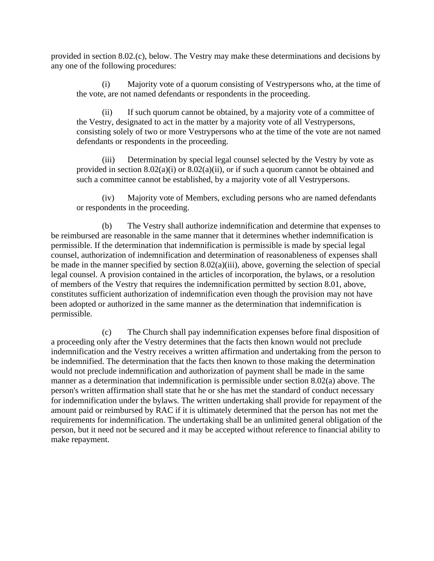provided in section 8.02.(c), below. The Vestry may make these determinations and decisions by any one of the following procedures:

(i) Majority vote of a quorum consisting of Vestrypersons who, at the time of the vote, are not named defendants or respondents in the proceeding.

(ii) If such quorum cannot be obtained, by a majority vote of a committee of the Vestry, designated to act in the matter by a majority vote of all Vestrypersons, consisting solely of two or more Vestrypersons who at the time of the vote are not named defendants or respondents in the proceeding.

(iii) Determination by special legal counsel selected by the Vestry by vote as provided in section  $8.02(a)(i)$  or  $8.02(a)(ii)$ , or if such a quorum cannot be obtained and such a committee cannot be established, by a majority vote of all Vestrypersons.

(iv) Majority vote of Members, excluding persons who are named defendants or respondents in the proceeding.

(b) The Vestry shall authorize indemnification and determine that expenses to be reimbursed are reasonable in the same manner that it determines whether indemnification is permissible. If the determination that indemnification is permissible is made by special legal counsel, authorization of indemnification and determination of reasonableness of expenses shall be made in the manner specified by section 8.02(a)(iii), above, governing the selection of special legal counsel. A provision contained in the articles of incorporation, the bylaws, or a resolution of members of the Vestry that requires the indemnification permitted by section 8.01, above, constitutes sufficient authorization of indemnification even though the provision may not have been adopted or authorized in the same manner as the determination that indemnification is permissible.

(c) The Church shall pay indemnification expenses before final disposition of a proceeding only after the Vestry determines that the facts then known would not preclude indemnification and the Vestry receives a written affirmation and undertaking from the person to be indemnified. The determination that the facts then known to those making the determination would not preclude indemnification and authorization of payment shall be made in the same manner as a determination that indemnification is permissible under section 8.02(a) above. The person's written affirmation shall state that he or she has met the standard of conduct necessary for indemnification under the bylaws. The written undertaking shall provide for repayment of the amount paid or reimbursed by RAC if it is ultimately determined that the person has not met the requirements for indemnification. The undertaking shall be an unlimited general obligation of the person, but it need not be secured and it may be accepted without reference to financial ability to make repayment.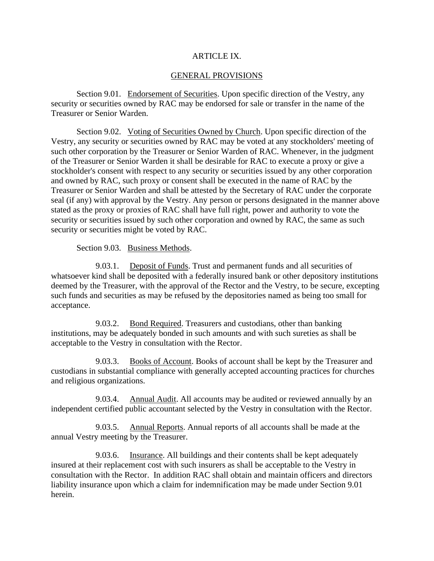# ARTICLE IX.

## GENERAL PROVISIONS

Section 9.01. Endorsement of Securities. Upon specific direction of the Vestry, any security or securities owned by RAC may be endorsed for sale or transfer in the name of the Treasurer or Senior Warden.

Section 9.02. Voting of Securities Owned by Church. Upon specific direction of the Vestry, any security or securities owned by RAC may be voted at any stockholders' meeting of such other corporation by the Treasurer or Senior Warden of RAC. Whenever, in the judgment of the Treasurer or Senior Warden it shall be desirable for RAC to execute a proxy or give a stockholder's consent with respect to any security or securities issued by any other corporation and owned by RAC, such proxy or consent shall be executed in the name of RAC by the Treasurer or Senior Warden and shall be attested by the Secretary of RAC under the corporate seal (if any) with approval by the Vestry. Any person or persons designated in the manner above stated as the proxy or proxies of RAC shall have full right, power and authority to vote the security or securities issued by such other corporation and owned by RAC, the same as such security or securities might be voted by RAC.

Section 9.03. Business Methods.

9.03.1. Deposit of Funds. Trust and permanent funds and all securities of whatsoever kind shall be deposited with a federally insured bank or other depository institutions deemed by the Treasurer, with the approval of the Rector and the Vestry, to be secure, excepting such funds and securities as may be refused by the depositories named as being too small for acceptance.

9.03.2. Bond Required. Treasurers and custodians, other than banking institutions, may be adequately bonded in such amounts and with such sureties as shall be acceptable to the Vestry in consultation with the Rector.

9.03.3. Books of Account. Books of account shall be kept by the Treasurer and custodians in substantial compliance with generally accepted accounting practices for churches and religious organizations.

9.03.4. Annual Audit. All accounts may be audited or reviewed annually by an independent certified public accountant selected by the Vestry in consultation with the Rector.

9.03.5. Annual Reports. Annual reports of all accounts shall be made at the annual Vestry meeting by the Treasurer.

9.03.6. Insurance. All buildings and their contents shall be kept adequately insured at their replacement cost with such insurers as shall be acceptable to the Vestry in consultation with the Rector. In addition RAC shall obtain and maintain officers and directors liability insurance upon which a claim for indemnification may be made under Section 9.01 herein.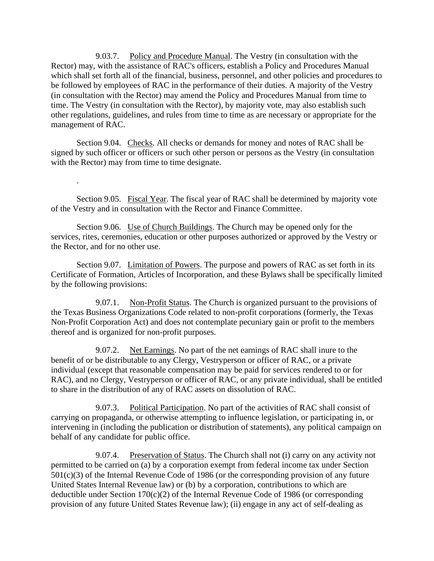9.03.7. Policy and Procedure Manual. The Vestry (in consultation with the Rector) may, with the assistance of RAC's officers, establish a Policy and Procedures Manual which shall set forth all of the financial, business, personnel, and other policies and procedures to be followed by employees of RAC in the performance of their duties. A majority of the Vestry (in consultation with the Rector) may amend the Policy and Procedures Manual from time to time. The Vestry (in consultation with the Rector), by majority vote, may also establish such other regulations, guidelines, and rules from time to time as are necessary or appropriate for the management of RAC.

Section 9.04. Checks. All checks or demands for money and notes of RAC shall be signed by such officer or officers or such other person or persons as the Vestry (in consultation with the Rector) may from time to time designate.

.

Section 9.05. Fiscal Year. The fiscal year of RAC shall be determined by majority vote of the Vestry and in consultation with the Rector and Finance Committee.

Section 9.06. Use of Church Buildings. The Church may be opened only for the services, rites, ceremonies, education or other purposes authorized or approved by the Vestry or the Rector, and for no other use.

Section 9.07. Limitation of Powers. The purpose and powers of RAC as set forth in its Certificate of Formation, Articles of Incorporation, and these Bylaws shall be specifically limited by the following provisions:

9.07.1. Non-Profit Status. The Church is organized pursuant to the provisions of the Texas Business Organizations Code related to non-profit corporations (formerly, the Texas Non-Profit Corporation Act) and does not contemplate pecuniary gain or profit to the members thereof and is organized for non-profit purposes.

9.07.2. Net Earnings. No part of the net earnings of RAC shall inure to the benefit of or be distributable to any Clergy, Vestryperson or officer of RAC, or a private individual (except that reasonable compensation may be paid for services rendered to or for RAC), and no Clergy, Vestryperson or officer of RAC, or any private individual, shall be entitled to share in the distribution of any of RAC assets on dissolution of RAC.

9.07.3. Political Participation. No part of the activities of RAC shall consist of carrying on propaganda, or otherwise attempting to influence legislation, or participating in, or intervening in (including the publication or distribution of statements), any political campaign on behalf of any candidate for public office.

9.07.4. Preservation of Status. The Church shall not (i) carry on any activity not permitted to be carried on (a) by a corporation exempt from federal income tax under Section 501(c)(3) of the Internal Revenue Code of 1986 (or the corresponding provision of any future United States Internal Revenue law) or (b) by a corporation, contributions to which are deductible under Section 170(c)(2) of the Internal Revenue Code of 1986 (or corresponding provision of any future United States Revenue law); (ii) engage in any act of self-dealing as